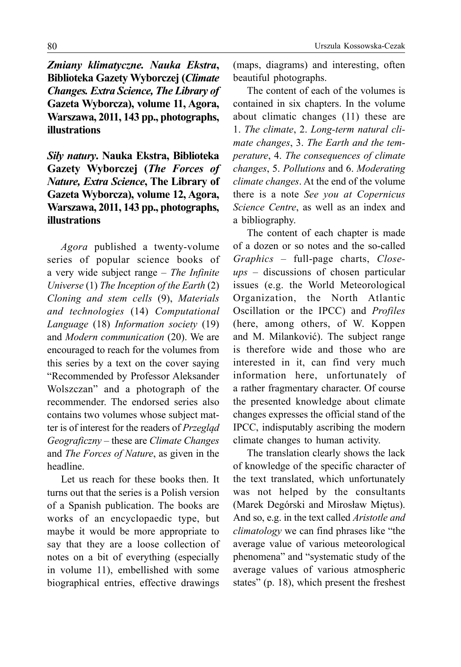*Zmiany klimatyczne. Nauka Ekstra***, Biblioteka Gazety Wyborczej (***Climate Changes. Extra Science, The Library of*  **Gazeta Wyborcza), volume 11, Agora, Warszawa, 2011, 143 pp., photographs, illustrations**

## *Siły natury***. Nauka Ekstra, Biblioteka Gazety Wyborczej (***The Forces of Nature, Extra Science***, The Library of Gazeta Wyborcza), volume 12, Agora, Warszawa, 2011, 143 pp., photographs, illustrations**

*Agora* published a twenty-volume series of popular science books of a very wide subject range – *The Infinite Universe* (1) *The Inception of the Earth* (2) *Cloning and stem cells* (9), *Materials and technologies* (14) *Computational Language* (18) *Information society* (19) and *Modern communication* (20). We are encouraged to reach for the volumes from this series by a text on the cover saying "Recommended by Professor Aleksander Wolszczan" and a photograph of the recommender. The endorsed series also contains two volumes whose subject matter is of interest for the readers of *Przegląd Geograficzny* – these are *Climate Changes* and *The Forces of Nature*, as given in the headline.

Let us reach for these books then. It turns out that the series is a Polish version of a Spanish publication. The books are works of an encyclopaedic type, but maybe it would be more appropriate to say that they are a loose collection of notes on a bit of everything (especially in volume 11), embellished with some biographical entries, effective drawings (maps, diagrams) and interesting, often beautiful photographs.

The content of each of the volumes is contained in six chapters. In the volume about climatic changes (11) these are 1. *The climate*, 2. *Long-term natural climate changes*, 3. *The Earth and the temperature*, 4. *The consequences of climate changes*, 5. *Pollutions* and 6. *Moderating climate changes*. At the end of the volume there is a note *See you at Copernicus Science Centre*, as well as an index and a bibliography.

The content of each chapter is made of a dozen or so notes and the so-called *Graphics* – full-page charts, *Closeups* – discussions of chosen particular issues (e.g. the World Meteorological Organization, the North Atlantic Oscillation or the IPCC) and *Profiles*  (here, among others, of W. Koppen and M. Milanković). The subject range is therefore wide and those who are interested in it, can find very much information here, unfortunately of a rather fragmentary character. Of course the presented knowledge about climate changes expresses the official stand of the IPCC, indisputably ascribing the modern climate changes to human activity.

The translation clearly shows the lack of knowledge of the specific character of the text translated, which unfortunately was not helped by the consultants (Marek Degórski and Mirosław Miętus). And so, e.g. in the text called *Aristotle and climatology* we can find phrases like "the average value of various meteorological phenomena" and "systematic study of the average values of various atmospheric states" (p. 18), which present the freshest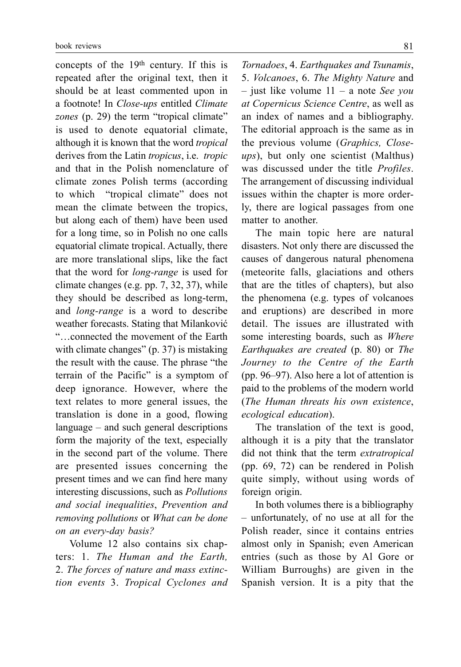concepts of the 19th century. If this is repeated after the original text, then it should be at least commented upon in a footnote! In *Close-ups* entitled *Climate zones* (p. 29) the term "tropical climate" is used to denote equatorial climate, although it is known that the word *tropical*  derives from the Latin *tropicus*, i.e. *tropic*  and that in the Polish nomenclature of climate zones Polish terms (according to which "tropical climate" does not mean the climate between the tropics, but along each of them) have been used for a long time, so in Polish no one calls equatorial climate tropical. Actually, there are more translational slips, like the fact that the word for *long-range* is used for climate changes (e.g. pp. 7, 32, 37), while they should be described as long-term, and *long-range* is a word to describe weather forecasts. Stating that Milanković "…connected the movement of the Earth with climate changes" (p. 37) is mistaking the result with the cause. The phrase "the terrain of the Pacific" is a symptom of deep ignorance. However, where the text relates to more general issues, the translation is done in a good, flowing language – and such general descriptions form the majority of the text, especially in the second part of the volume. There are presented issues concerning the present times and we can find here many interesting discussions, such as *Pollutions and social inequalities*, *Prevention and removing pollutions* or *What can be done on an every-day basis?*

Volume 12 also contains six chapters: 1. *The Human and the Earth,* 2. *The forces of nature and mass extinction events* 3. *Tropical Cyclones and* 

*Tornadoes*, 4. *Earthquakes and Tsunamis*, 5. *Volcanoes*, 6. *The Mighty Nature* and – just like volume 11 – a note *See you at Copernicus Science Centre*, as well as an index of names and a bibliography. The editorial approach is the same as in the previous volume (*Graphics, Closeups*), but only one scientist (Malthus) was discussed under the title *Profiles*. The arrangement of discussing individual issues within the chapter is more orderly, there are logical passages from one matter to another.

The main topic here are natural disasters. Not only there are discussed the causes of dangerous natural phenomena (meteorite falls, glaciations and others that are the titles of chapters), but also the phenomena (e.g. types of volcanoes and eruptions) are described in more detail. The issues are illustrated with some interesting boards, such as *Where Earthquakes are created* (p. 80) or *The Journey to the Centre of the Earth*  (pp. 96–97). Also here a lot of attention is paid to the problems of the modern world (*The Human threats his own existence*, *ecological education*).

The translation of the text is good, although it is a pity that the translator did not think that the term *extratropical*  (pp. 69, 72) can be rendered in Polish quite simply, without using words of foreign origin.

In both volumes there is a bibliography – unfortunately, of no use at all for the Polish reader, since it contains entries almost only in Spanish; even American entries (such as those by Al Gore or William Burroughs) are given in the Spanish version. It is a pity that the